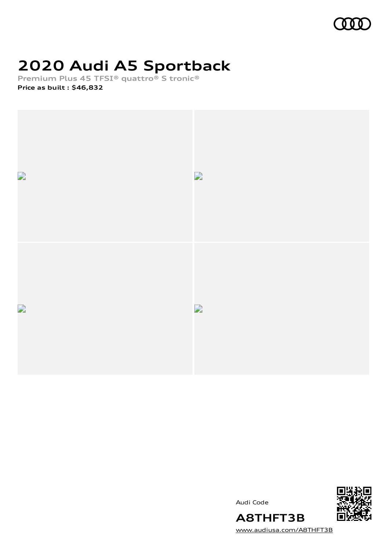

# **2020 Audi A5 Sportback**

**Premium Plus 45 TFSI® quattro® S tronic®**

**Price as built [:](#page-8-0) \$46,832**



Audi Code



[www.audiusa.com/A8THFT3B](https://www.audiusa.com/A8THFT3B)

**A8THFT3B**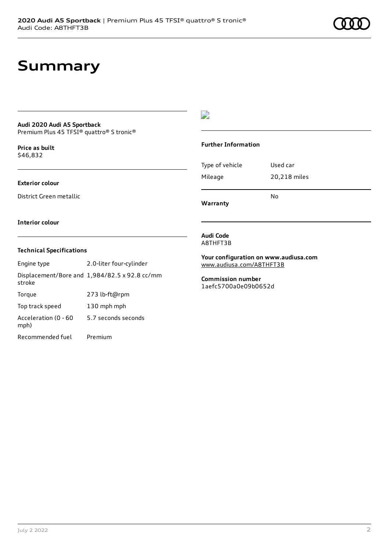# **Summary**

## **Audi 2020 Audi A5 Sportback**

Premium Plus 45 TFSI® quattro® S tronic®

**Price as buil[t](#page-8-0)** \$46,832

### **Exterior colour**

District Green metallic

## $\overline{\phantom{a}}$

### **Further Information**

|                 | N٥           |
|-----------------|--------------|
| Mileage         | 20,218 miles |
| Type of vehicle | Used car     |

**Warranty**

#### **Interior colour**

### **Technical Specifications**

| Engine type                  | 2.0-liter four-cylinder                       |
|------------------------------|-----------------------------------------------|
| stroke                       | Displacement/Bore and 1,984/82.5 x 92.8 cc/mm |
| Torque                       | 273 lb-ft@rpm                                 |
| Top track speed              | 130 mph mph                                   |
| Acceleration (0 - 60<br>mph) | 5.7 seconds seconds                           |
| Recommended fuel             | Premium                                       |

#### **Audi Code** A8THFT3B

**Your configuration on www.audiusa.com** [www.audiusa.com/A8THFT3B](https://www.audiusa.com/A8THFT3B)

**Commission number** 1aefc5700a0e09b0652d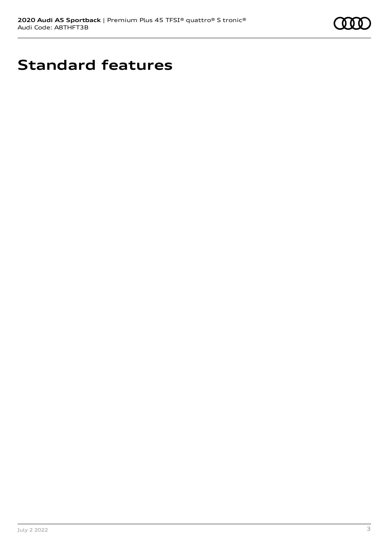

# **Standard features**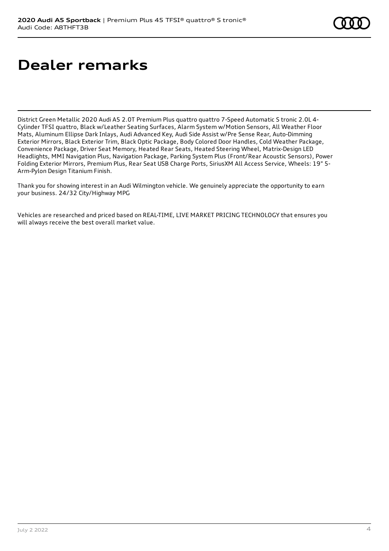# **Dealer remarks**

District Green Metallic 2020 Audi A5 2.0T Premium Plus quattro quattro 7-Speed Automatic S tronic 2.0L 4- Cylinder TFSI quattro, Black w/Leather Seating Surfaces, Alarm System w/Motion Sensors, All Weather Floor Mats, Aluminum Ellipse Dark Inlays, Audi Advanced Key, Audi Side Assist w/Pre Sense Rear, Auto-Dimming Exterior Mirrors, Black Exterior Trim, Black Optic Package, Body Colored Door Handles, Cold Weather Package, Convenience Package, Driver Seat Memory, Heated Rear Seats, Heated Steering Wheel, Matrix-Design LED Headlights, MMI Navigation Plus, Navigation Package, Parking System Plus (Front/Rear Acoustic Sensors), Power Folding Exterior Mirrors, Premium Plus, Rear Seat USB Charge Ports, SiriusXM All Access Service, Wheels: 19" 5- Arm-Pylon Design Titanium Finish.

Thank you for showing interest in an Audi Wilmington vehicle. We genuinely appreciate the opportunity to earn your business. 24/32 City/Highway MPG

Vehicles are researched and priced based on REAL-TIME, LIVE MARKET PRICING TECHNOLOGY that ensures you will always receive the best overall market value.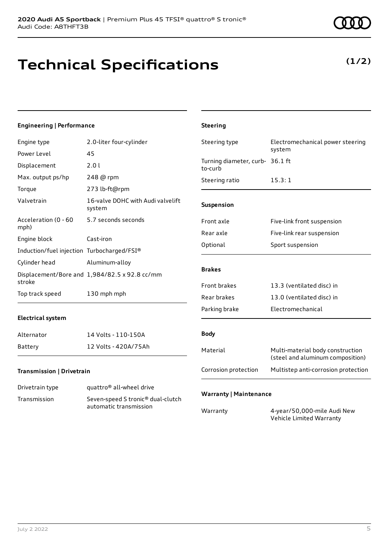# **Technical Specifications**

#### Power Level 45

**Engineering | Performance**

Engine type 2.0-liter four-cylinder

| Displacement                               | 2.01                                          | Turnin<br>to-cur |
|--------------------------------------------|-----------------------------------------------|------------------|
| Max. output ps/hp                          | 248 @ rpm                                     | Steeri           |
| Torque                                     | 273 lb-ft@rpm                                 |                  |
| Valvetrain                                 | 16-valve DOHC with Audi valvelift<br>system   | <b>Suspe</b>     |
| Acceleration (0 - 60<br>mph)               | 5.7 seconds seconds                           | Front            |
| Engine block                               | Cast-iron                                     | Rear a           |
| Induction/fuel injection Turbocharged/FSI® |                                               | Option           |
| Cylinder head                              | Aluminum-alloy                                |                  |
|                                            | Displacement/Bore and 1,984/82.5 x 92.8 cc/mm | <b>Brake</b>     |
| stroke                                     |                                               | Front            |
| Top track speed                            | 130 mph mph                                   | Rear h           |

### **Electrical system**

| Alternator | 14 Volts - 110-150A  |
|------------|----------------------|
| Battery    | 12 Volts - 420A/75Ah |

### **Transmission | Drivetrain**

| Drivetrain type | quattro <sup>®</sup> all-wheel drive                                    |
|-----------------|-------------------------------------------------------------------------|
| Transmission    | Seven-speed S tronic <sup>®</sup> dual-clutch<br>automatic transmission |

| Steering type                              | Electromechanical power steering<br>system                           |
|--------------------------------------------|----------------------------------------------------------------------|
| Turning diameter, curb- 36.1 ft<br>to-curb |                                                                      |
| Steering ratio                             | 15.3:1                                                               |
| Suspension                                 |                                                                      |
| Front axle                                 | Five-link front suspension                                           |
| Rear axle                                  | Five-link rear suspension                                            |
| Optional                                   | Sport suspension                                                     |
| <b>Brakes</b>                              |                                                                      |
| <b>Front brakes</b>                        | 13.3 (ventilated disc) in                                            |
| Rear brakes                                | 13.0 (ventilated disc) in                                            |
| Parking brake                              | Electromechanical                                                    |
| <b>Body</b>                                |                                                                      |
| Material                                   | Multi-material body construction<br>(steel and aluminum composition) |
| Corrosion protection                       | Multistep anti-corrosion protection                                  |

### **Warranty | Maintenance**

**Steering**

Warranty 4-year/50,000-mile Audi New Vehicle Limited Warranty

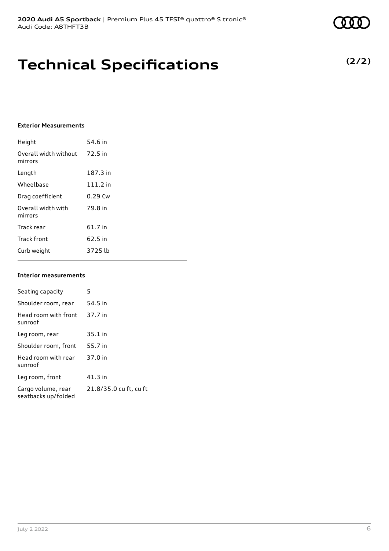# **Technical Specifications**

### **Exterior Measurements**

| Height                           | 54.6 in    |
|----------------------------------|------------|
| Overall width without<br>mirrors | 72.5 in    |
| Length                           | 187.3 in   |
| Wheelbase                        | $111.2$ in |
| Drag coefficient                 | $0.29$ Cw  |
| Overall width with<br>mirrors    | 79.8 in    |
| Track rear                       | 61.7 in    |
| <b>Track front</b>               | 62.5 in    |
| Curb weight                      | 3725 lb    |

### **Interior measurements**

| Seating capacity                          | 5                      |
|-------------------------------------------|------------------------|
| Shoulder room, rear                       | 54.5 in                |
| Head room with front<br>sunroof           | 37.7 in                |
| Leg room, rear                            | $35.1$ in              |
| Shoulder room, front                      | 55.7 in                |
| Head room with rear<br>sunroof            | 37.0 in                |
| Leg room, front                           | $41.3$ in              |
| Cargo volume, rear<br>seatbacks up/folded | 21.8/35.0 cu ft, cu ft |

**(2/2)**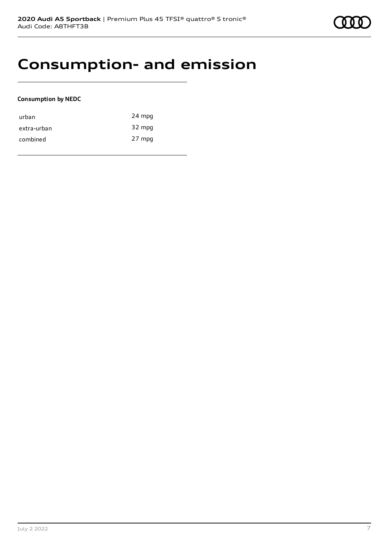# **Consumption- and emission**

### **Consumption by NEDC**

| urban       | 24 mpg |
|-------------|--------|
| extra-urban | 32 mpg |
| combined    | 27 mpg |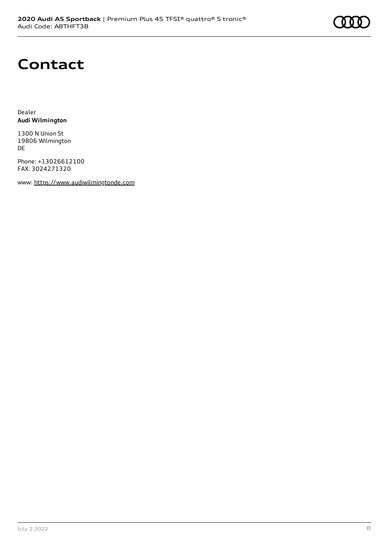# **Contact**

Dealer **Audi Wilmington**

1300 N Union St 19806 Wilmington DE

Phone: +13026612100 FAX: 3024271320

www: [https://www.audiwilmingtonde.com](https://www.audiwilmingtonde.com/)